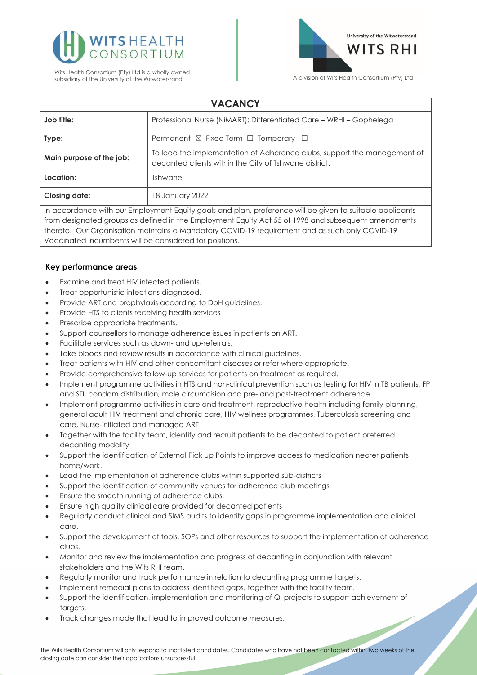



| <b>VACANCY</b>                                                                                           |                                                                                                                                   |
|----------------------------------------------------------------------------------------------------------|-----------------------------------------------------------------------------------------------------------------------------------|
| Job title:                                                                                               | Professional Nurse (NiMART): Differentiated Care - WRHI - Gophelega                                                               |
| Type:                                                                                                    | Permanent $\boxtimes$ Fixed Term $\Box$ Temporary $\Box$                                                                          |
| Main purpose of the job:                                                                                 | To lead the implementation of Adherence clubs, support the management of<br>decanted clients within the City of Tshwane district. |
| Location:                                                                                                | <b>Tshwane</b>                                                                                                                    |
| <b>Closing date:</b>                                                                                     | 18 January 2022                                                                                                                   |
| In accordance with our Employment Equity goals and plan, preference will be given to suitable applicants |                                                                                                                                   |
| from designated arouns as defined in the Employment Equity Act 55 of 1998 and subsequent amendments      |                                                                                                                                   |

ployment Equity Act 55 of thereto. Our Organisation maintains a Mandatory COVID-19 requirement and as such only COVID-19 Vaccinated incumbents will be considered for positions.

## **Key performance areas**

- Examine and treat HIV infected patients.
- Treat opportunistic infections diagnosed.
- Provide ART and prophylaxis according to DoH guidelines.
- Provide HTS to clients receiving health services
- Prescribe appropriate treatments.
- Support counsellors to manage adherence issues in patients on ART.
- Facilitate services such as down- and up-referrals.
- Take bloods and review results in accordance with clinical guidelines.
- Treat patients with HIV and other concomitant diseases or refer where appropriate.
- Provide comprehensive follow-up services for patients on treatment as required.
- Implement programme activities in HTS and non-clinical prevention such as testing for HIV in TB patients, FP and STI, condom distribution, male circumcision and pre- and post-treatment adherence.
- Implement programme activities in care and treatment, reproductive health including family planning, general adult HIV treatment and chronic care, HIV wellness programmes, Tuberculosis screening and care, Nurse-initiated and managed ART
- Together with the facility team, identify and recruit patients to be decanted to patient preferred decanting modality
- Support the identification of External Pick up Points to improve access to medication nearer patients home/work.
- Lead the implementation of adherence clubs within supported sub-districts
- Support the identification of community venues for adherence club meetings
- Ensure the smooth running of adherence clubs.
- Ensure high quality clinical care provided for decanted patients
- Regularly conduct clinical and SIMS audits to identify gaps in programme implementation and clinical care.
- Support the development of tools, SOPs and other resources to support the implementation of adherence clubs.
- Monitor and review the implementation and progress of decanting in conjunction with relevant stakeholders and the Wits RHI team.
- Regularly monitor and track performance in relation to decanting programme targets.
- Implement remedial plans to address identified gaps, together with the facility team.
- Support the identification, implementation and monitoring of QI projects to support achievement of targets.
- Track changes made that lead to improved outcome measures.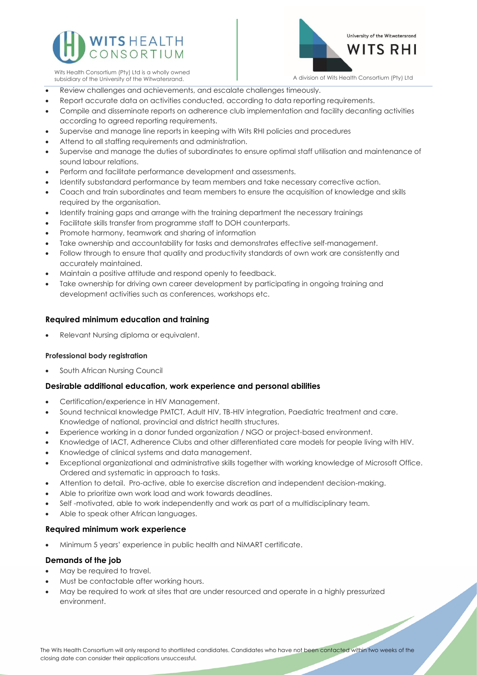



Wits Health Consortium (Pty) Ltd is a wholly owned

- Review challenges and achievements, and escalate challenges timeously.
- Report accurate data on activities conducted, according to data reporting requirements.
- Compile and disseminate reports on adherence club implementation and facility decanting activities according to agreed reporting requirements.
- Supervise and manage line reports in keeping with Wits RHI policies and procedures
- Attend to all staffing requirements and administration.
- Supervise and manage the duties of subordinates to ensure optimal staff utilisation and maintenance of sound labour relations.
- Perform and facilitate performance development and assessments.
- Identify substandard performance by team members and take necessary corrective action.
- Coach and train subordinates and team members to ensure the acquisition of knowledge and skills required by the organisation.
- Identify training gaps and arrange with the training department the necessary trainings
- Facilitate skills transfer from programme staff to DOH counterparts.
- Promote harmony, teamwork and sharing of information
- Take ownership and accountability for tasks and demonstrates effective self-management.
- Follow through to ensure that quality and productivity standards of own work are consistently and accurately maintained.
- Maintain a positive attitude and respond openly to feedback.
- Take ownership for driving own career development by participating in ongoing training and development activities such as conferences, workshops etc.

## **Required minimum education and training**

• Relevant Nursing diploma or equivalent.

# **Professional body registration**

South African Nursing Council

# **Desirable additional education, work experience and personal abilities**

- Certification/experience in HIV Management.
- Sound technical knowledge PMTCT, Adult HIV, TB-HIV integration, Paediatric treatment and care. Knowledge of national, provincial and district health structures.
- Experience working in a donor funded organization / NGO or project-based environment.
- Knowledge of IACT, Adherence Clubs and other differentiated care models for people living with HIV.
- Knowledge of clinical systems and data management.
- Exceptional organizational and administrative skills together with working knowledge of Microsoft Office. Ordered and systematic in approach to tasks.
- Attention to detail. Pro-active, able to exercise discretion and independent decision-making.
- Able to prioritize own work load and work towards deadlines.
- Self -motivated, able to work independently and work as part of a multidisciplinary team.
- Able to speak other African languages.

### **Required minimum work experience**

• Minimum 5 years' experience in public health and NiMART certificate.

### **Demands of the job**

- May be required to travel.
- Must be contactable after working hours.
- May be required to work at sites that are under resourced and operate in a highly pressurized environment.